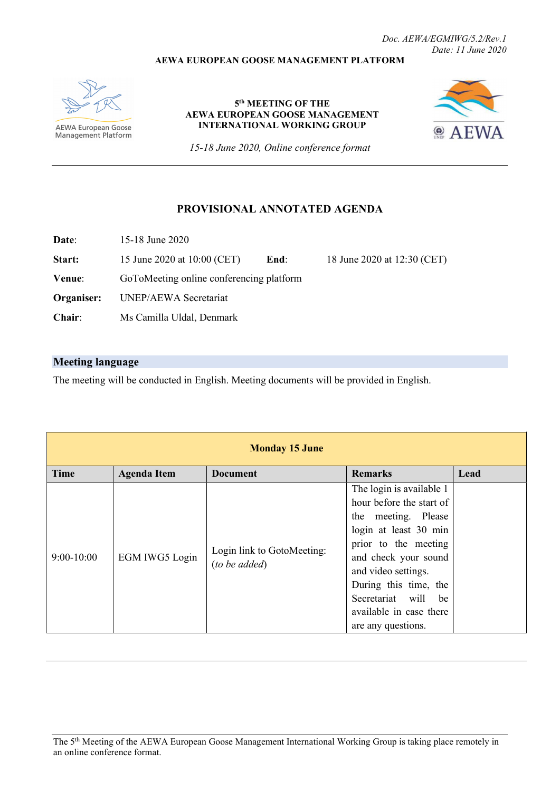## AEWA EUROPEAN GOOSE MANAGEMENT PLATFORM

Doc. AEWA/EGMIWG/5.2/Rev.1 Date: 11 June 2020

**AEWA European Goose** Management Platform

### 5<sup>th</sup> MEETING OF THE AEWA EUROPEAN GOOSE MANAGEMENT INTERNATIONAL WORKING GROUP



15-18 June 2020, Online conference format

## PROVISIONAL ANNOTATED AGENDA

Date: 15-18 June 2020

Start: 15 June 2020 at 10:00 (CET) End: 18 June 2020 at 12:30 (CET)

Venue: GoToMeeting online conferencing platform

Organiser: UNEP/AEWA Secretariat

Chair: Ms Camilla Uldal, Denmark

# Meeting language

The meeting will be conducted in English. Meeting documents will be provided in English.

| <b>Monday 15 June</b> |                    |                                             |                                                                                                                                                                                                                                                                              |      |
|-----------------------|--------------------|---------------------------------------------|------------------------------------------------------------------------------------------------------------------------------------------------------------------------------------------------------------------------------------------------------------------------------|------|
| <b>Time</b>           | <b>Agenda Item</b> | <b>Document</b>                             | <b>Remarks</b>                                                                                                                                                                                                                                                               | Lead |
| $9:00-10:00$          | EGM IWG5 Login     | Login link to GotoMeeting:<br>(to be added) | The login is available 1<br>hour before the start of<br>the meeting. Please<br>login at least 30 min<br>prior to the meeting<br>and check your sound<br>and video settings.<br>During this time, the<br>Secretariat will be<br>available in case there<br>are any questions. |      |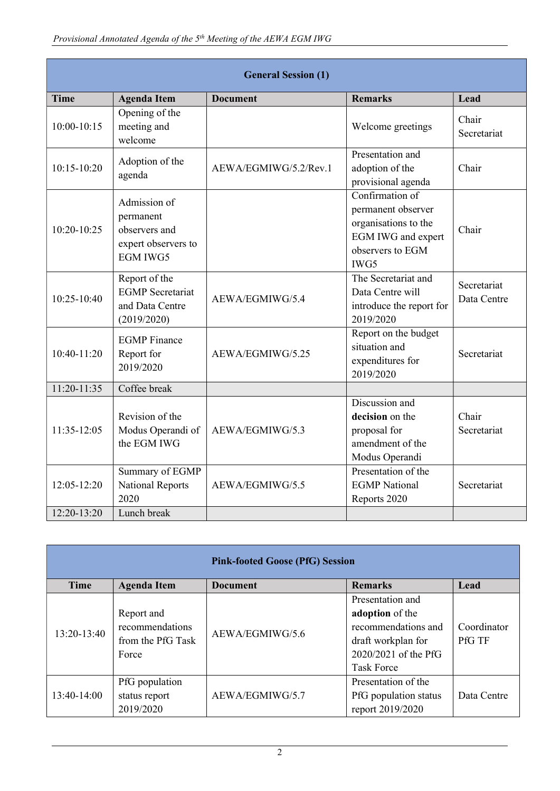| <b>General Session (1)</b> |                                                                                      |                       |                                                                                                                 |                            |
|----------------------------|--------------------------------------------------------------------------------------|-----------------------|-----------------------------------------------------------------------------------------------------------------|----------------------------|
| <b>Time</b>                | <b>Agenda Item</b>                                                                   | <b>Document</b>       | <b>Remarks</b>                                                                                                  | Lead                       |
| $10:00 - 10:15$            | Opening of the<br>meeting and<br>welcome                                             |                       | Welcome greetings                                                                                               | Chair<br>Secretariat       |
| $10:15 - 10:20$            | Adoption of the<br>agenda                                                            | AEWA/EGMIWG/5.2/Rev.1 | Presentation and<br>adoption of the<br>provisional agenda                                                       | Chair                      |
| 10:20-10:25                | Admission of<br>permanent<br>observers and<br>expert observers to<br><b>EGM IWG5</b> |                       | Confirmation of<br>permanent observer<br>organisations to the<br>EGM IWG and expert<br>observers to EGM<br>IWG5 | Chair                      |
| 10:25-10:40                | Report of the<br><b>EGMP</b> Secretariat<br>and Data Centre<br>(2019/2020)           | AEWA/EGMIWG/5.4       | The Secretariat and<br>Data Centre will<br>introduce the report for<br>2019/2020                                | Secretariat<br>Data Centre |
| 10:40-11:20                | <b>EGMP</b> Finance<br>Report for<br>2019/2020                                       | AEWA/EGMIWG/5.25      | Report on the budget<br>situation and<br>expenditures for<br>2019/2020                                          | Secretariat                |
| $11:20-11:35$              | Coffee break                                                                         |                       |                                                                                                                 |                            |
| 11:35-12:05                | Revision of the<br>Modus Operandi of<br>the EGM IWG                                  | AEWA/EGMIWG/5.3       | Discussion and<br>decision on the<br>proposal for<br>amendment of the<br>Modus Operandi                         | Chair<br>Secretariat       |
| $12:05 - 12:20$            | Summary of EGMP<br><b>National Reports</b><br>2020                                   | AEWA/EGMIWG/5.5       | Presentation of the<br><b>EGMP</b> National<br>Reports 2020                                                     | Secretariat                |
| $12:20-13:20$              | Lunch break                                                                          |                       |                                                                                                                 |                            |

| <b>Pink-footed Goose (PfG) Session</b> |                                                             |                 |                                                                                                                               |                              |
|----------------------------------------|-------------------------------------------------------------|-----------------|-------------------------------------------------------------------------------------------------------------------------------|------------------------------|
| <b>Time</b>                            | <b>Agenda Item</b>                                          | <b>Document</b> | <b>Remarks</b>                                                                                                                | Lead                         |
| 13:20-13:40                            | Report and<br>recommendations<br>from the PfG Task<br>Force | AEWA/EGMIWG/5.6 | Presentation and<br>adoption of the<br>recommendations and<br>draft workplan for<br>2020/2021 of the PfG<br><b>Task Force</b> | Coordinator<br><b>PfG TF</b> |
| 13:40-14:00                            | PfG population<br>status report<br>2019/2020                | AEWA/EGMIWG/5.7 | Presentation of the<br>PfG population status<br>report 2019/2020                                                              | Data Centre                  |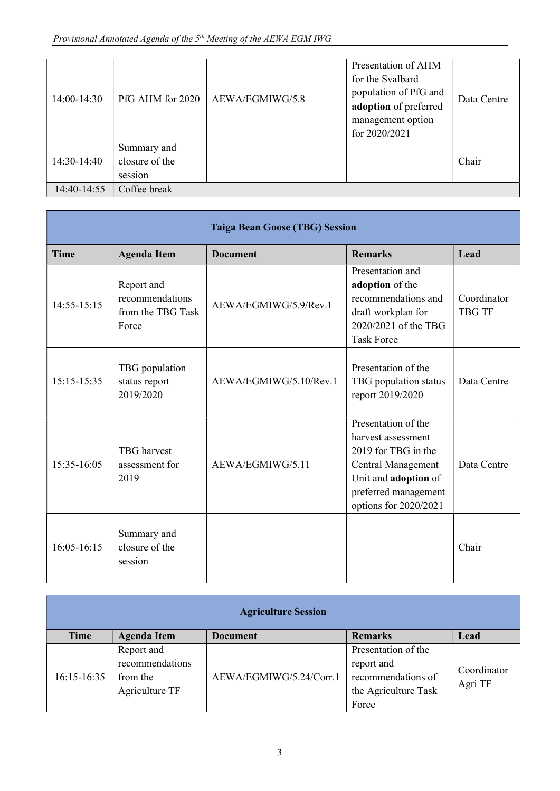| 14:00-14:30 | PfG AHM for 2020                         | AEWA/EGMIWG/5.8 | Presentation of AHM<br>for the Svalbard<br>population of PfG and<br>adoption of preferred<br>management option<br>for 2020/2021 | Data Centre |
|-------------|------------------------------------------|-----------------|---------------------------------------------------------------------------------------------------------------------------------|-------------|
| 14:30-14:40 | Summary and<br>closure of the<br>session |                 |                                                                                                                                 | Chair       |
| 14:40-14:55 | Coffee break                             |                 |                                                                                                                                 |             |

|                 | <b>Taiga Bean Goose (TBG) Session</b>                       |                        |                                                                                                                                                                 |                              |
|-----------------|-------------------------------------------------------------|------------------------|-----------------------------------------------------------------------------------------------------------------------------------------------------------------|------------------------------|
| <b>Time</b>     | <b>Agenda Item</b>                                          | <b>Document</b>        | <b>Remarks</b>                                                                                                                                                  | Lead                         |
| $14:55 - 15:15$ | Report and<br>recommendations<br>from the TBG Task<br>Force | AEWA/EGMIWG/5.9/Rev.1  | Presentation and<br>adoption of the<br>recommendations and<br>draft workplan for<br>2020/2021 of the TBG<br><b>Task Force</b>                                   | Coordinator<br><b>TBG TF</b> |
| $15:15-15:35$   | TBG population<br>status report<br>2019/2020                | AEWA/EGMIWG/5.10/Rev.1 | Presentation of the<br>TBG population status<br>report 2019/2020                                                                                                | Data Centre                  |
| 15:35-16:05     | <b>TBG</b> harvest<br>assessment for<br>2019                | AEWA/EGMIWG/5.11       | Presentation of the<br>harvest assessment<br>2019 for TBG in the<br>Central Management<br>Unit and adoption of<br>preferred management<br>options for 2020/2021 | Data Centre                  |
| $16:05-16:15$   | Summary and<br>closure of the<br>session                    |                        |                                                                                                                                                                 | Chair                        |

| <b>Agriculture Session</b> |                                                             |                         |                                                                                          |                        |
|----------------------------|-------------------------------------------------------------|-------------------------|------------------------------------------------------------------------------------------|------------------------|
| Time                       | <b>Agenda Item</b>                                          | <b>Document</b>         | <b>Remarks</b>                                                                           | Lead                   |
| $16:15-16:35$              | Report and<br>recommendations<br>from the<br>Agriculture TF | AEWA/EGMIWG/5.24/Corr.1 | Presentation of the<br>report and<br>recommendations of<br>the Agriculture Task<br>Force | Coordinator<br>Agri TF |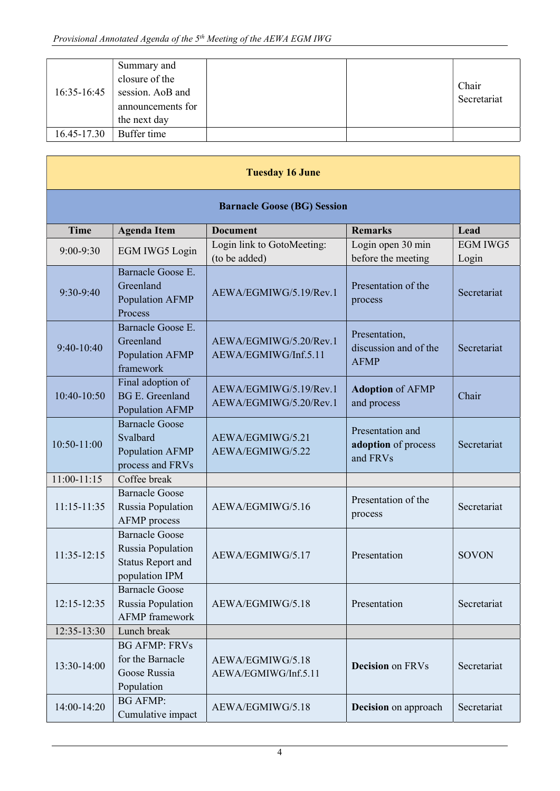| 16:35-16:45 | Summary and<br>closure of the<br>session. AoB and<br>announcements for<br>the next day |  | Chair<br>Secretariat |
|-------------|----------------------------------------------------------------------------------------|--|----------------------|
| 16.45-17.30 | Buffer time                                                                            |  |                      |

| <b>Tuesday 16 June</b>             |                                                                                          |                                                  |                                                       |                          |  |
|------------------------------------|------------------------------------------------------------------------------------------|--------------------------------------------------|-------------------------------------------------------|--------------------------|--|
| <b>Barnacle Goose (BG) Session</b> |                                                                                          |                                                  |                                                       |                          |  |
| <b>Time</b>                        | <b>Agenda Item</b>                                                                       | <b>Document</b>                                  | <b>Remarks</b>                                        | Lead                     |  |
| 9:00-9:30                          | EGM IWG5 Login                                                                           | Login link to GotoMeeting:<br>(to be added)      | Login open 30 min<br>before the meeting               | <b>EGM IWG5</b><br>Login |  |
| 9:30-9:40                          | Barnacle Goose E.<br>Greenland<br>Population AFMP<br>Process                             | AEWA/EGMIWG/5.19/Rev.1                           | Presentation of the<br>process                        | Secretariat              |  |
| $9:40-10:40$                       | Barnacle Goose E.<br>Greenland<br>Population AFMP<br>framework                           | AEWA/EGMIWG/5.20/Rev.1<br>AEWA/EGMIWG/Inf.5.11   | Presentation,<br>discussion and of the<br><b>AFMP</b> | Secretariat              |  |
| 10:40-10:50                        | Final adoption of<br><b>BG E. Greenland</b><br>Population AFMP                           | AEWA/EGMIWG/5.19/Rev.1<br>AEWA/EGMIWG/5.20/Rev.1 | <b>Adoption of AFMP</b><br>and process                | Chair                    |  |
| 10:50-11:00                        | <b>Barnacle Goose</b><br>Svalbard<br>Population AFMP<br>process and FRVs                 | AEWA/EGMIWG/5.21<br>AEWA/EGMIWG/5.22             | Presentation and<br>adoption of process<br>and FRVs   | Secretariat              |  |
| $11:00-11:15$                      | Coffee break                                                                             |                                                  |                                                       |                          |  |
| $11:15 - 11:35$                    | <b>Barnacle Goose</b><br>Russia Population<br><b>AFMP</b> process                        | AEWA/EGMIWG/5.16                                 | Presentation of the<br>process                        | Secretariat              |  |
| $11:35-12:15$                      | <b>Barnacle Goose</b><br>Russia Population<br><b>Status Report and</b><br>population IPM | AEWA/EGMIWG/5.17                                 | Presentation                                          | <b>SOVON</b>             |  |
| 12:15-12:35                        | <b>Barnacle Goose</b><br>Russia Population<br><b>AFMP</b> framework                      | AEWA/EGMIWG/5.18                                 | Presentation                                          | Secretariat              |  |
| 12:35-13:30                        | Lunch break                                                                              |                                                  |                                                       |                          |  |
| 13:30-14:00                        | <b>BG AFMP: FRVs</b><br>for the Barnacle<br>Goose Russia<br>Population                   | AEWA/EGMIWG/5.18<br>AEWA/EGMIWG/Inf.5.11         | <b>Decision</b> on FRVs                               | Secretariat              |  |
| 14:00-14:20                        | <b>BG AFMP:</b><br>Cumulative impact                                                     | AEWA/EGMIWG/5.18                                 | <b>Decision</b> on approach                           | Secretariat              |  |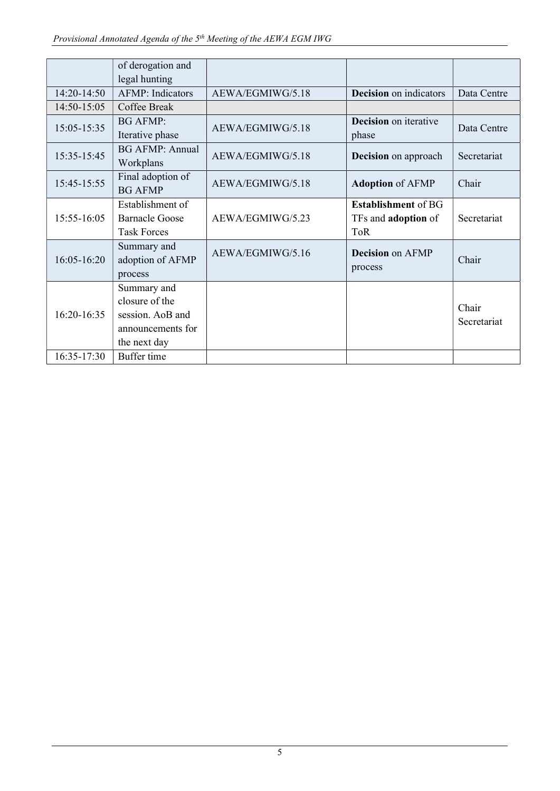|             | of derogation and<br>legal hunting                                                     |                  |                                                                        |                      |
|-------------|----------------------------------------------------------------------------------------|------------------|------------------------------------------------------------------------|----------------------|
| 14:20-14:50 | <b>AFMP</b> : Indicators                                                               | AEWA/EGMIWG/5.18 | <b>Decision</b> on indicators                                          | Data Centre          |
| 14:50-15:05 | Coffee Break                                                                           |                  |                                                                        |                      |
| 15:05-15:35 | <b>BG AFMP:</b><br>Iterative phase                                                     | AEWA/EGMIWG/5.18 | <b>Decision</b> on iterative<br>phase                                  | Data Centre          |
| 15:35-15:45 | <b>BG AFMP: Annual</b><br>Workplans                                                    | AEWA/EGMIWG/5.18 | <b>Decision</b> on approach                                            | Secretariat          |
| 15:45-15:55 | Final adoption of<br><b>BG AFMP</b>                                                    | AEWA/EGMIWG/5.18 | <b>Adoption of AFMP</b>                                                | Chair                |
| 15:55-16:05 | Establishment of<br>Barnacle Goose<br><b>Task Forces</b>                               | AEWA/EGMIWG/5.23 | <b>Establishment</b> of BG<br>TFs and <b>adoption</b> of<br><b>ToR</b> | Secretariat          |
| 16:05-16:20 | Summary and<br>adoption of AFMP<br>process                                             | AEWA/EGMIWG/5.16 | <b>Decision</b> on AFMP<br>process                                     | Chair                |
| 16:20-16:35 | Summary and<br>closure of the<br>session. AoB and<br>announcements for<br>the next day |                  |                                                                        | Chair<br>Secretariat |
| 16:35-17:30 | Buffer time                                                                            |                  |                                                                        |                      |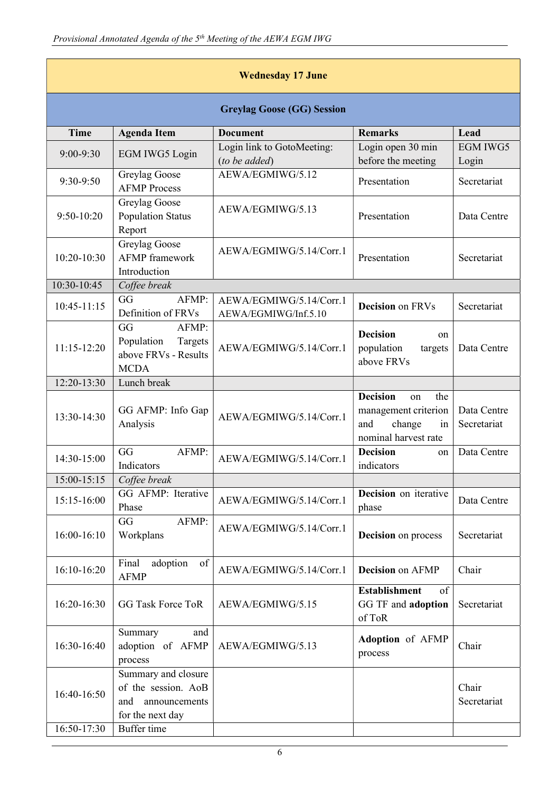| <b>Wednesday 17 June</b> |                                                                                        |                                                 |                                                                                                     |                            |
|--------------------------|----------------------------------------------------------------------------------------|-------------------------------------------------|-----------------------------------------------------------------------------------------------------|----------------------------|
|                          |                                                                                        | <b>Greylag Goose (GG) Session</b>               |                                                                                                     |                            |
| <b>Time</b>              | <b>Agenda Item</b>                                                                     | <b>Document</b>                                 | <b>Remarks</b>                                                                                      | Lead                       |
| $9:00-9:30$              | EGM IWG5 Login                                                                         | Login link to GotoMeeting:<br>(to be added)     | Login open 30 min<br>before the meeting                                                             | <b>EGM IWG5</b><br>Login   |
| 9:30-9:50                | Greylag Goose<br><b>AFMP</b> Process                                                   | AEWA/EGMIWG/5.12                                | Presentation                                                                                        | Secretariat                |
| $9:50-10:20$             | Greylag Goose<br><b>Population Status</b><br>Report                                    | AEWA/EGMIWG/5.13                                | Presentation                                                                                        | Data Centre                |
| 10:20-10:30              | Greylag Goose<br><b>AFMP</b> framework<br>Introduction                                 | AEWA/EGMIWG/5.14/Corr.1                         | Presentation                                                                                        | Secretariat                |
| 10:30-10:45              | Coffee break                                                                           |                                                 |                                                                                                     |                            |
| 10:45-11:15              | GG<br>AFMP:<br>Definition of FRVs                                                      | AEWA/EGMIWG/5.14/Corr.1<br>AEWA/EGMIWG/Inf.5.10 | <b>Decision</b> on FRVs                                                                             | Secretariat                |
| $11:15-12:20$            | GG<br>AFMP:<br>Population<br>Targets<br>above FRVs - Results<br><b>MCDA</b>            | AEWA/EGMIWG/5.14/Corr.1                         | <b>Decision</b><br>on<br>population<br>targets<br>above FRVs                                        | Data Centre                |
| 12:20-13:30              | Lunch break                                                                            |                                                 |                                                                                                     |                            |
| 13:30-14:30              | GG AFMP: Info Gap<br>Analysis                                                          | AEWA/EGMIWG/5.14/Corr.1                         | <b>Decision</b><br>the<br>on<br>management criterion<br>change<br>and<br>in<br>nominal harvest rate | Data Centre<br>Secretariat |
| 14:30-15:00              | GG<br>AFMP:<br>Indicators                                                              | AEWA/EGMIWG/5.14/Corr.1                         | <b>Decision</b><br>on<br>indicators                                                                 | Data Centre                |
| $15:00-15:15$            | Coffee break                                                                           |                                                 |                                                                                                     |                            |
| 15:15-16:00              | GG AFMP: Iterative<br>Phase                                                            | AEWA/EGMIWG/5.14/Corr.1                         | <b>Decision</b> on iterative<br>phase                                                               | Data Centre                |
| 16:00-16:10              | AFMP:<br>GG<br>Workplans                                                               | AEWA/EGMIWG/5.14/Corr.1                         | <b>Decision</b> on process                                                                          | Secretariat                |
| 16:10-16:20              | Final<br>adoption<br>of<br><b>AFMP</b>                                                 | AEWA/EGMIWG/5.14/Corr.1                         | <b>Decision</b> on AFMP                                                                             | Chair                      |
| 16:20-16:30              | <b>GG Task Force ToR</b>                                                               | AEWA/EGMIWG/5.15                                | <b>Establishment</b><br>of<br>GG TF and adoption<br>of ToR                                          | Secretariat                |
| 16:30-16:40              | Summary<br>and<br>adoption of AFMP<br>process                                          | AEWA/EGMIWG/5.13                                | Adoption of AFMP<br>process                                                                         | Chair                      |
| 16:40-16:50              | Summary and closure<br>of the session. AoB<br>announcements<br>and<br>for the next day |                                                 |                                                                                                     | Chair<br>Secretariat       |
| 16:50-17:30              | Buffer time                                                                            |                                                 |                                                                                                     |                            |